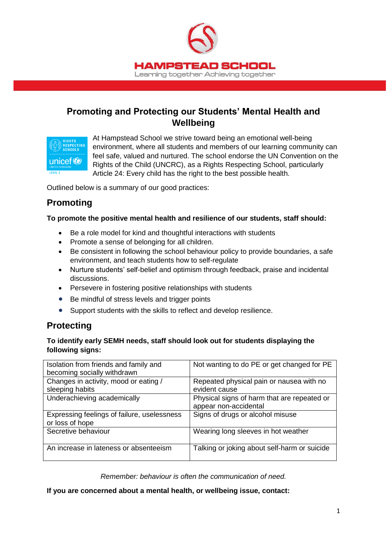

# **Promoting and Protecting our Students' Mental Health and Wellbeing**



At Hampstead School we strive toward being an emotional well-being environment, where all students and members of our learning community can feel safe, valued and nurtured. The school endorse the UN Convention on the Rights of the Child (UNCRC), as a Rights Respecting School, particularly Article 24: Every child has the right to the best possible health.

Outlined below is a summary of our good practices:

## **Promoting**

## **To promote the positive mental health and resilience of our students, staff should:**

- Be a role model for kind and thoughtful interactions with students
- Promote a sense of belonging for all children.
- Be consistent in following the school behaviour policy to provide boundaries, a safe environment, and teach students how to self-regulate
- Nurture students' self-belief and optimism through feedback, praise and incidental discussions.
- Persevere in fostering positive relationships with students
- Be mindful of stress levels and trigger points
- Support students with the skills to reflect and develop resilience.

# **Protecting**

## **To identify early SEMH needs, staff should look out for students displaying the following signs:**

| Isolation from friends and family and<br>becoming socially withdrawn | Not wanting to do PE or get changed for PE                           |
|----------------------------------------------------------------------|----------------------------------------------------------------------|
| Changes in activity, mood or eating /<br>sleeping habits             | Repeated physical pain or nausea with no<br>evident cause            |
| Underachieving academically                                          | Physical signs of harm that are repeated or<br>appear non-accidental |
| Expressing feelings of failure, uselessness<br>or loss of hope       | Signs of drugs or alcohol misuse                                     |
| Secretive behaviour                                                  | Wearing long sleeves in hot weather                                  |
| An increase in lateness or absenteeism                               | Talking or joking about self-harm or suicide                         |

*Remember: behaviour is often the communication of need.*

**If you are concerned about a mental health, or wellbeing issue, contact:**